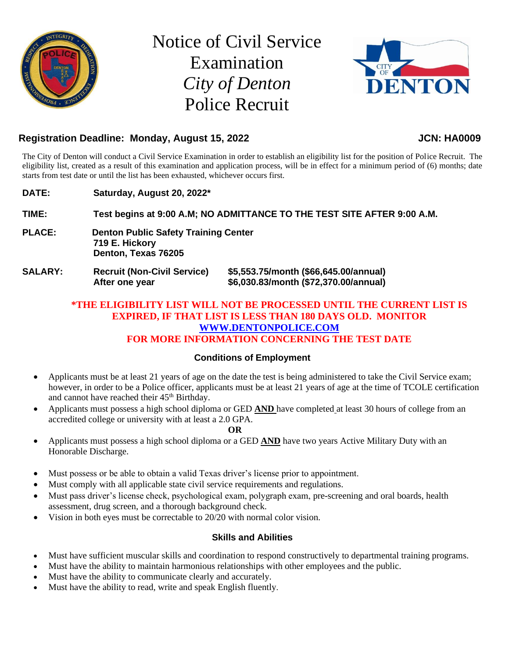

Notice of Civil Service Examination *City of Denton* Police Recruit



# Registration Deadline: Monday, August 15, 2022 **JCN: HA0009**

The City of Denton will conduct a Civil Service Examination in order to establish an eligibility list for the position of Police Recruit. The eligibility list, created as a result of this examination and application process, will be in effect for a minimum period of (6) months; date starts from test date or until the list has been exhausted, whichever occurs first.

**DATE: Saturday, August 20, 2022\* TIME: Test begins at 9:00 A.M; NO ADMITTANCE TO THE TEST SITE AFTER 9:00 A.M. PLACE: Denton Public Safety Training Center 719 E. Hickory Denton, Texas 76205 SALARY: Recruit (Non-Civil Service) \$5,553.75/month (\$66,645.00/annual)**

**After one year \$6,030.83/month (\$72,370.00/annual)**

**\*THE ELIGIBILITY LIST WILL NOT BE PROCESSED UNTIL THE CURRENT LIST IS EXPIRED, IF THAT LIST IS LESS THAN 180 DAYS OLD. MONITOR [WWW.DENTONPOLICE.COM](http://www.dentonpolice.com/)**

# **FOR MORE INFORMATION CONCERNING THE TEST DATE**

# **Conditions of Employment**

- Applicants must be at least 21 years of age on the date the test is being administered to take the Civil Service exam; however, in order to be a Police officer, applicants must be at least 21 years of age at the time of TCOLE certification and cannot have reached their 45<sup>th</sup> Birthday.
- Applicants must possess a high school diploma or GED **AND** have completed at least 30 hours of college from an accredited college or university with at least a 2.0 GPA.

### **OR**

- Applicants must possess a high school diploma or a GED **AND** have two years Active Military Duty with an Honorable Discharge.
- Must possess or be able to obtain a valid Texas driver's license prior to appointment.
- Must comply with all applicable state civil service requirements and regulations.
- Must pass driver's license check, psychological exam, polygraph exam, pre-screening and oral boards, health assessment, drug screen, and a thorough background check.
- Vision in both eyes must be correctable to 20/20 with normal color vision.

# **Skills and Abilities**

- Must have sufficient muscular skills and coordination to respond constructively to departmental training programs.
- Must have the ability to maintain harmonious relationships with other employees and the public.
- Must have the ability to communicate clearly and accurately.
- Must have the ability to read, write and speak English fluently.